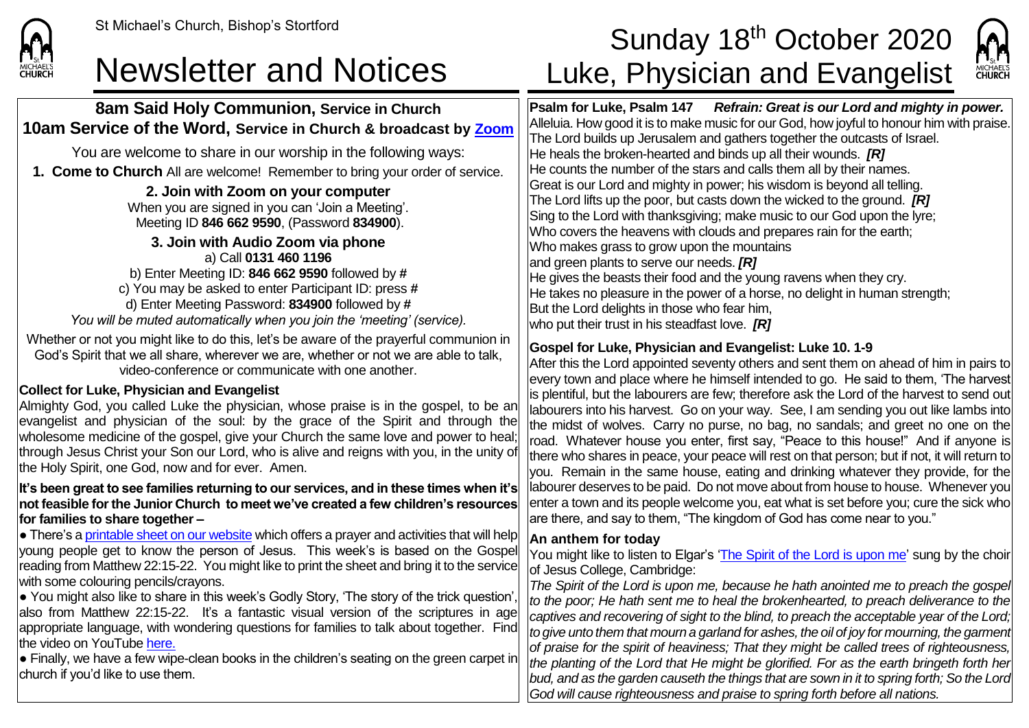

### **8am Said Holy Communion, Service in Church 10am Service of the Word, Service in Church & broadcast by [Zoom](https://zoom.us/)**

You are welcome to share in our worship in the following ways:

**1. Come to Church** All are welcome! Remember to bring your order of service.

**2. Join with Zoom on your computer** When you are signed in you can 'Join a Meeting'.

Meeting ID **846 662 9590**, (Password **834900**).

**3. Join with Audio Zoom via phone** a) Call **0131 460 1196** b) Enter Meeting ID: **846 662 9590** followed by **#** c) You may be asked to enter Participant ID: press **#** d) Enter Meeting Password: **834900** followed by **#** *You will be muted automatically when you join the 'meeting' (service).*

Whether or not you might like to do this, let's be aware of the prayerful communion in God's Spirit that we all share, wherever we are, whether or not we are able to talk, video-conference or communicate with one another.

### **Collect for Luke, Physician and Evangelist**

Almighty God, you called Luke the physician, whose praise is in the gospel, to be an evangelist and physician of the soul: by the grace of the Spirit and through the wholesome medicine of the gospel, give your Church the same love and power to heal; through Jesus Christ your Son our Lord, who is alive and reigns with you, in the unity of the Holy Spirit, one God, now and for ever. Amen.

#### **It's been great to see families returning to our services, and in these times when it's not feasible for the Junior Church to meet we've created a few children's resources for families to share together –**

 $\bullet$  There's [a printable sheet on our website](https://saintmichaelweb.org.uk/Articles/542815/_Newsletter.aspx) which offers a prayer and activities that will help young people get to know the person of Jesus. This week's is based on the Gospel reading from Matthew 22:15-22. You might like to print the sheet and bring it to the service with some colouring pencils/crayons.

 $\bullet$  You might also like to share in this week's Godly Story, 'The story of the trick question', also from Matthew 22:15-22. It's a fantastic visual version of the scriptures in age appropriate language, with wondering questions for families to talk about together. Find the video on YouTube [here.](https://www.youtube.com/watch?v=uwKSCniP_D8)

 $\bullet$  Finally, we have a few wipe-clean books in the children's seating on the green carpet in church if you'd like to use them.

# St Michael's Church, Bishop's Stortford **Sunday 18<sup>th</sup> October 2020** Newsletter and Notices Luke, Physician and Evangelist



**Psalm for Luke, Psalm 147** *Refrain: Great is our Lord and mighty in power.* Alleluia. How good it is to make music for our God, how joyful to honour him with praise. The Lord builds up Jerusalem and gathers together the outcasts of Israel. He heals the broken-hearted and binds up all their wounds. *[R]* He counts the number of the stars and calls them all by their names. Great is our Lord and mighty in power; his wisdom is beyond all telling. The Lord lifts up the poor, but casts down the wicked to the ground. *[R]* Sing to the Lord with thanksgiving; make music to our God upon the lyre; Who covers the heavens with clouds and prepares rain for the earth; Who makes grass to grow upon the mountains and green plants to serve our needs. *[R]* He gives the beasts their food and the young ravens when they cry. He takes no pleasure in the power of a horse, no delight in human strength; But the Lord delights in those who fear him, who put their trust in his steadfast love. *[R]*

## **Gospel for Luke, Physician and Evangelist: Luke 10. 1-9**

After this the Lord appointed seventy others and sent them on ahead of him in pairs to every town and place where he himself intended to go. He said to them, 'The harvest is plentiful, but the labourers are few; therefore ask the Lord of the harvest to send out labourers into his harvest. Go on your way. See, I am sending you out like lambs into the midst of wolves. Carry no purse, no bag, no sandals; and greet no one on the road. Whatever house you enter, first say, "Peace to this house!" And if anyone is there who shares in peace, your peace will rest on that person; but if not, it will return to you. Remain in the same house, eating and drinking whatever they provide, for the labourer deserves to be paid. Do not move about from house to house. Whenever you enter a town and its people welcome you, eat what is set before you; cure the sick who are there, and say to them, "The kingdom of God has come near to you."

#### **An anthem for today**

You might like to listen to Elgar's ['The Spirit of the Lord is upon me'](https://www.youtube.com/watch?v=adm3oIWGmq8) sung by the choir of Jesus College, Cambridge:

*The Spirit of the Lord is upon me, because he hath anointed me to preach the gospel to the poor; He hath sent me to heal the brokenhearted, to preach deliverance to the captives and recovering of sight to the blind, to preach the acceptable year of the Lord; to give unto them that mourn a garland for ashes, the oil of joy for mourning, the garment of praise for the spirit of heaviness; That they might be called trees of righteousness, the planting of the Lord that He might be glorified. For as the earth bringeth forth her bud, and as the garden causeth the things that are sown in it to spring forth; So the Lord God will cause righteousness and praise to spring forth before all nations.*